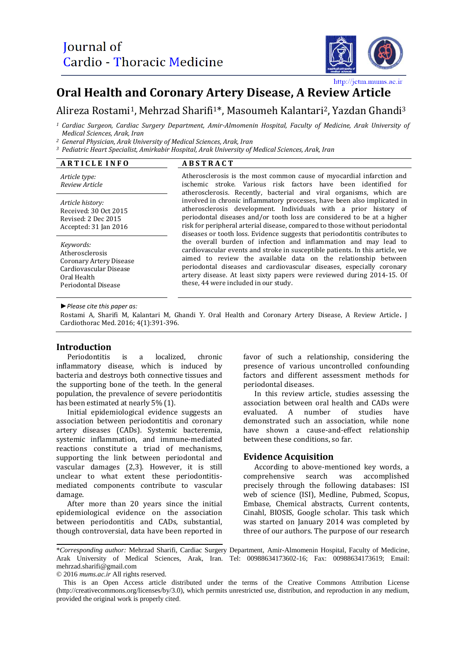

http://jctm.mums.ac.ir

# **Oral Health and Coronary Artery Disease, A Review Article**

## Alireza Rostami1, Mehrzad Sharifi1\*, Masoumeh Kalantari2, Yazdan Ghandi<sup>3</sup>

*<sup>1</sup> Cardiac Surgeon, Cardiac Surgery Department, Amir-Almomenin Hospital, Faculty of Medicine, Arak University of Medical Sciences, Arak, Iran*

*<sup>2</sup> General Physician, Arak University of Medical Sciences, Arak, Iran*

*<sup>3</sup> Pediatric Heart Specialist, Amirkabir Hospital, Arak University of Medical Sciences, Arak, Iran*

#### **A R T I C L E I N F O A B S T R A C T**

*Article type: Review Article*

*Article history:* Received: 30 Oct 2015 Revised: 2 Dec 2015 Accepted: 31 Jan 2016

*Keywords:*  Atherosclerosis Coronary Artery Disease Cardiovascular Disease Oral Health Periodontal Disease

Atherosclerosis is the most common cause of myocardial infarction and ischemic stroke. Various risk factors have been identified for atherosclerosis. Recently, bacterial and viral organisms, which are involved in chronic inflammatory processes, have been also implicated in atherosclerosis development. Individuals with a prior history of periodontal diseases and/or tooth loss are considered to be at a higher risk for peripheral arterial disease, compared to those without periodontal diseases or tooth loss. Evidence suggests that periodontitis contributes to the overall burden of infection and inflammation and may lead to cardiovascular events and stroke in susceptible patients. In this article, we aimed to review the available data on the relationship between periodontal diseases and cardiovascular diseases, especially coronary artery disease. At least sixty papers were reviewed during 2014-15. Of these, 44 were included in our study.

*►Please cite this paper as:*

Rostami A, Sharifi M, Kalantari M, Ghandi Y. Oral Health and Coronary Artery Disease, A Review Article**.** J Cardiothorac Med. 2016; 4(1):391-396.

#### **Introduction**

Periodontitis is a localized, chronic inflammatory disease, which is induced by bacteria and destroys both connective tissues and the supporting bone of the teeth. In the general population, the prevalence of severe periodontitis has been estimated at nearly 5% (1).

Initial epidemiological evidence suggests an association between periodontitis and coronary artery diseases (CADs). Systemic bacteremia, systemic inflammation, and immune-mediated reactions constitute a triad of mechanisms, supporting the link between periodontal and vascular damages (2,3). However, it is still unclear to what extent these periodontitismediated components contribute to vascular damage.

After more than 20 years since the initial epidemiological evidence on the association between periodontitis and CADs, substantial, though controversial, data have been reported in favor of such a relationship, considering the presence of various uncontrolled confounding factors and different assessment methods for periodontal diseases.

In this review article, studies assessing the association between oral health and CADs were evaluated. A number of studies have demonstrated such an association, while none have shown a cause-and-effect relationship between these conditions, so far.

#### **Evidence Acquisition**

According to above-mentioned key words, a comprehensive search was accomplished precisely through the following databases: ISI web of science (ISI), Medline, Pubmed, Scopus, Embase, Chemical abstracts, Current contents, Cinahl, BIOSIS, Google scholar. This task which was started on January 2014 was completed by three of our authors. The purpose of our research

© 2016 *mums.ac.ir* All rights reserved.

<sup>\*</sup>*Corresponding author:* Mehrzad Sharifi, Cardiac Surgery Department, Amir-Almomenin Hospital, Faculty of Medicine, Arak University of Medical Sciences, Arak, Iran. Tel: 00988634173602-16; Fax: 00988634173619; Email: mehrzad.sharifi@gmail.com

This is an Open Access article distributed under the terms of the Creative Commons Attribution License (http://creativecommons.org/licenses/by/3.0), which permits unrestricted use, distribution, and reproduction in any medium, provided the original work is properly cited.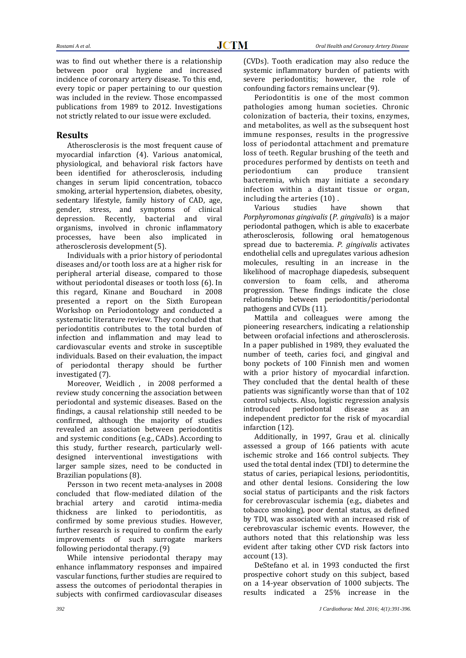was to find out whether there is a relationship between poor oral hygiene and increased incidence of coronary artery disease. To this end, every topic or paper pertaining to our question was included in the review. Those encompassed publications from 1989 to 2012. Investigations not strictly related to our issue were excluded.

### **Results**

Atherosclerosis is the most frequent cause of myocardial infarction (4). Various anatomical, physiological, and behavioral risk factors have been identified for atherosclerosis, including changes in serum lipid concentration, tobacco smoking, arterial hypertension, diabetes, obesity, sedentary lifestyle, family history of CAD, age, gender, stress, and symptoms of clinical depression. Recently, bacterial and viral organisms, involved in chronic inflammatory processes, have been also implicated in atherosclerosis development (5).

Individuals with a prior history of periodontal diseases and/or tooth loss are at a higher risk for peripheral arterial disease, compared to those without periodontal diseases or tooth loss (6). In this regard, [Kinane a](http://www.ncbi.nlm.nih.gov/pubmed?term=Kinane%20D%5BAuthor%5D&cauthor=true&cauthor_uid=18724860)nd [Bouchard](http://www.ncbi.nlm.nih.gov/pubmed?term=Bouchard%20P%5BAuthor%5D&cauthor=true&cauthor_uid=18724860) in 2008 presented a report on the Sixth European Workshop on Periodontology and conducted a systematic literature review. They concluded that periodontitis contributes to the total burden of infection and inflammation and may lead to cardiovascular events and stroke in susceptible individuals. Based on their evaluation, the impact of periodontal therapy should be further investigated (7).

Moreover, [Weidlich ,](http://www.ncbi.nlm.nih.gov/pubmed?term=Weidlich%20P%5BAuthor%5D&cauthor=true&cauthor_uid=19838549) in 2008 performed a review study concerning the association between periodontal and systemic diseases. Based on the findings, a causal relationship still needed to be confirmed, although the majority of studies revealed an association between periodontitis and systemic conditions (e.g., CADs). According to this study, further research, particularly welldesigned interventional investigations with larger sample sizes, need to be conducted in Brazilian populations (8).

[Persson i](http://www.ncbi.nlm.nih.gov/pubmed?term=Persson%20GR%5BAuthor%5D&cauthor=true&cauthor_uid=18724863)n two recent meta-analyses in 2008 concluded that flow-mediated dilation of the brachial artery and carotid intima-media thickness are linked to periodontitis, as confirmed by some previous studies. However, further research is required to confirm the early improvements of such surrogate markers following periodontal therapy. (9)

While intensive periodontal therapy may enhance inflammatory responses and impaired vascular functions, further studies are required to assess the outcomes of periodontal therapies in subjects with confirmed cardiovascular diseases

(CVDs). Tooth eradication may also reduce the systemic inflammatory burden of patients with severe periodontitis; however, the role of confounding factors remains unclear (9).

Periodontitis is one of the most common pathologies among human societies. Chronic colonization of bacteria, their toxins, enzymes, and metabolites, as well as the subsequent host immune responses, results in the progressive loss of periodontal attachment and premature loss of teeth. Regular brushing of the teeth and procedures performed by dentists on teeth and periodontium can produce transient bacteremia, which may initiate a secondary infection within a distant tissue or organ, including the arteries (10) .

Various studies have shown that *Porphyromonas gingivalis* (*P. gingivalis*) is a major periodontal pathogen, which is able to exacerbate atherosclerosis, following oral hematogenous spread due to bacteremia. *P. gingivalis* activates endothelial cells and upregulates various adhesion molecules, resulting in an increase in the likelihood of macrophage diapedesis, subsequent conversion to foam cells, and atheroma progression. These findings indicate the close relationship between periodontitis/periodontal pathogens and CVDs (11).

Mattila and colleagues were among the pioneering researchers, indicating a relationship between orofacial infections and atherosclerosis. In a paper published in 1989, they evaluated the number of teeth, caries foci, and gingival and bony pockets of 100 Finnish men and women with a prior history of myocardial infarction. They concluded that the dental health of these patients was significantly worse than that of 102 control subjects. Also, logistic regression analysis introduced periodontal disease as an independent predictor for the risk of myocardial infarction (12).

Additionally, in 1997, Grau et al. clinically assessed a group of 166 patients with acute ischemic stroke and 166 control subjects. They used the total dental index (TDI) to determine the status of caries, periapical lesions, periodontitis, and other dental lesions. Considering the low social status of participants and the risk factors for cerebrovascular ischemia (e.g., diabetes and tobacco smoking), poor dental status, as defined by TDI, was associated with an increased risk of cerebrovascular ischemic events. However, the authors noted that this relationship was less evident after taking other CVD risk factors into account (13).

DeStefano et al. in 1993 conducted the first prospective cohort study on this subject, based on a 14-year observation of 1000 subjects. The results indicated a 25% increase in the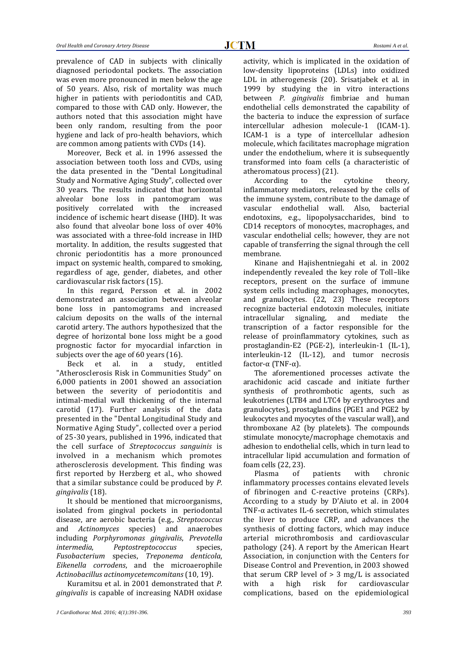prevalence of CAD in subjects with clinically diagnosed periodontal pockets. The association was even more pronounced in men below the age of 50 years. Also, risk of mortality was much higher in patients with periodontitis and CAD, compared to those with CAD only. However, the authors noted that this association might have been only random, resulting from the poor hygiene and lack of pro-health behaviors, which are common among patients with CVDs (14).

Moreover, Beck et al. in 1996 assessed the association between tooth loss and CVDs, using the data presented in the "Dental Longitudinal Study and Normative Aging Study", collected over 30 years. The results indicated that horizontal alveolar bone loss in pantomogram was positively correlated with the increased incidence of ischemic heart disease (IHD). It was also found that alveolar bone loss of over 40% was associated with a three-fold increase in IHD mortality. In addition, the results suggested that chronic periodontitis has a more pronounced impact on systemic health, compared to smoking, regardless of age, gender, diabetes, and other cardiovascular risk factors (15).

In this regard, Persson et al. in 2002 demonstrated an association between alveolar bone loss in pantomograms and increased calcium deposits on the walls of the internal carotid artery. The authors hypothesized that the degree of horizontal bone loss might be a good prognostic factor for myocardial infarction in subjects over the age of 60 years (16).

Beck et al. in a study, entitled "Atherosclerosis Risk in Communities Study" on 6,000 patients in 2001 showed an association between the severity of periodontitis and intimal-medial wall thickening of the internal carotid (17). Further analysis of the data presented in the "Dental Longitudinal Study and Normative Aging Study", collected over a period of 25-30 years, published in 1996, indicated that the cell surface of *Streptococcus sanguinis* is involved in a mechanism which promotes atherosclerosis development. This finding was first reported by Herzberg et al., who showed that a similar substance could be produced by *P. gingivalis* (18).

It should be mentioned that microorganisms, isolated from gingival pockets in periodontal disease, are aerobic bacteria (e.g., *Streptococcus* and *Actinomyces* species) and anaerobes including *Porphyromonas gingivalis*, *Prevotella intermedia*, *Peptostreptococcus* species, *Fusobacterium* species, *Treponema denticola*, *Eikenella corrodens*, and the microaerophile *Actinobacillus actinomycetemcomitans* (10, 19).

Kuramitsu et al. in 2001 demonstrated that *P. gingivalis* is capable of increasing NADH oxidase

activity, which is implicated in the oxidation of low-density lipoproteins (LDLs) into oxidized LDL in atherogenesis (20). Srisatjabek et al. in 1999 by studying the in vitro interactions between *P. gingivalis* fimbriae and human endothelial cells demonstrated the capability of the bacteria to induce the expression of surface intercellular adhesion molecule-1 (ICAM-1). ICAM-1 is a type of intercellular adhesion molecule, which facilitates macrophage migration under the endothelium, where it is subsequently transformed into foam cells (a characteristic of atheromatous process) (21).

According to the cytokine theory, inflammatory mediators, released by the cells of the immune system, contribute to the damage of vascular endothelial wall. Also, bacterial endotoxins, e.g., lipopolysaccharides, bind to CD14 receptors of monocytes, macrophages, and vascular endothelial cells; however, they are not capable of transferring the signal through the cell membrane.

Kinane and Hajishentniegahi et al. in 2002 independently revealed the key role of Toll–like receptors, present on the surface of immune system cells including macrophages, monocytes, and granulocytes. (22, 23) These receptors recognize bacterial endotoxin molecules, initiate intracellular signaling, and mediate the transcription of a factor responsible for the release of proinflammatory cytokines, such as prostaglandin-E2 (PGE-2), interleukin-1 (IL-1), interleukin-12 (IL-12), and tumor necrosis factor-α (TNF-α).

The aforementioned processes activate the arachidonic acid cascade and initiate further synthesis of prothrombotic agents, such as leukotrienes (LTB4 and LTC4 by erythrocytes and granulocytes), prostaglandins (PGE1 and PGE2 by leukocytes and myocytes of the vascular wall), and thromboxane A2 (by platelets). The compounds stimulate monocyte/macrophage chemotaxis and adhesion to endothelial cells, which in turn lead to intracellular lipid accumulation and formation of foam cells (22, 23).

Plasma of patients with chronic inflammatory processes contains elevated levels of fibrinogen and C-reactive proteins (CRPs). According to a study by D'Aiuto et al. in 2004 TNF- $\alpha$  activates IL-6 secretion, which stimulates the liver to produce CRP, and advances the synthesis of clotting factors, which may induce arterial microthrombosis and cardiovascular pathology (24). A report by the American Heart Association, in conjunction with the Centers for Disease Control and Prevention, in 2003 showed that serum CRP level of  $> 3$  mg/L is associated with a high risk for cardiovascular complications, based on the epidemiological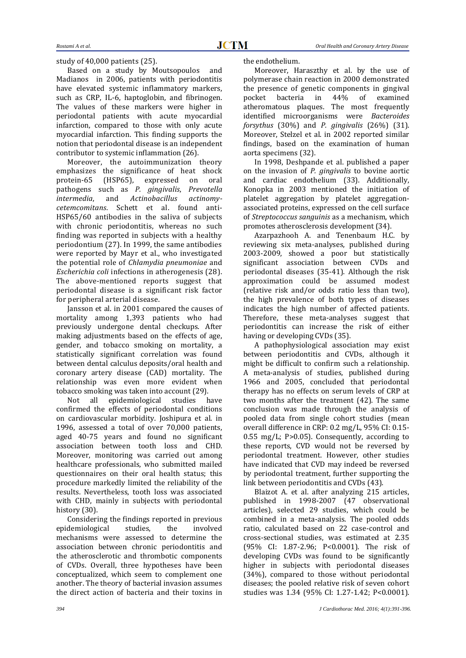study of 40,000 patients (25).

Based on a study by [Moutsopoulos](http://www.ncbi.nlm.nih.gov/pubmed?term=Moutsopoulos%20NM%5BAuthor%5D&cauthor=true&cauthor_uid=17192571) and [Madianos](http://www.ncbi.nlm.nih.gov/pubmed?term=Madianos%20PN%5BAuthor%5D&cauthor=true&cauthor_uid=17192571) in 2006, patients with periodontitis have elevated systemic inflammatory markers, such as CRP, IL-6, haptoglobin, and fibrinogen. The values of these markers were higher in periodontal patients with acute myocardial infarction, compared to those with only acute myocardial infarction. This finding supports the notion that periodontal disease is an independent contributor to systemic inflammation (26).

Moreover, the autoimmunization theory emphasizes the significance of heat shock protein-65 (HSP65), expressed on oral pathogens such as *P. gingivalis*, *Prevotella intermedia*, and *Actinobacillus actinomycetemcomitans*. Schett et al. found anti-HSP65/60 antibodies in the saliva of subjects with chronic periodontitis, whereas no such finding was reported in subjects with a healthy periodontium (27). In 1999, the same antibodies were reported by Mayr et al., who investigated the potential role of *Chlamydia pneumoniae* and *Escherichia coli* infections in atherogenesis (28). The above-mentioned reports suggest that periodontal disease is a significant risk factor for peripheral arterial disease.

Jansson et al. in 2001 compared the causes of mortality among 1,393 patients who had previously undergone dental checkups. After making adjustments based on the effects of age, gender, and tobacco smoking on mortality, a statistically significant correlation was found between dental calculus deposits/oral health and coronary artery disease (CAD) mortality. The relationship was even more evident when tobacco smoking was taken into account (29).

Not all epidemiological studies have confirmed the effects of periodontal conditions on cardiovascular morbidity. Joshipura et al. in 1996, assessed a total of over 70,000 patients, aged 40-75 years and found no significant association between tooth loss and CHD. Moreover, monitoring was carried out among healthcare professionals, who submitted mailed questionnaires on their oral health status; this procedure markedly limited the reliability of the results. Nevertheless, tooth loss was associated with CHD, mainly in subjects with periodontal history (30).

Considering the findings reported in previous epidemiological studies, the involved mechanisms were assessed to determine the association between chronic periodontitis and the atherosclerotic and thrombotic components of CVDs. Overall, three hypotheses have been conceptualized, which seem to complement one another. The theory of bacterial invasion assumes the direct action of bacteria and their toxins in the endothelium.

Moreover, Haraszthy et al. by the use of polymerase chain reaction in 2000 demonstrated the presence of genetic components in gingival pocket bacteria in 44% of examined atheromatous plaques. The most frequently identified microorganisms were *Bacteroides forsythus* (30%) and *P. gingivalis* (26%) (31). Moreover, Stelzel et al. in 2002 reported similar findings, based on the examination of human aorta specimens (32).

In 1998, Deshpande et al. published a paper on the invasion of *P. gingivalis* to bovine aortic and cardiac endothelium (33). Additionally, Konopka in 2003 mentioned the initiation of platelet aggregation by platelet aggregationassociated proteins, expressed on the cell surface of *Streptococcus sanguinis* as a mechanism, which promotes atherosclerosis development (34).

Azarpazhooh A. and Tenenbaum H.C. by reviewing six meta-analyses, published during 2003-2009, showed a poor but statistically significant association between CVDs and periodontal diseases (35-41). Although the risk approximation could be assumed modest (relative risk and/or odds ratio less than two), the high prevalence of both types of diseases indicates the high number of affected patients. Therefore, these meta-analyses suggest that periodontitis can increase the risk of either having or developing CVDs (35).

A pathophysiological association may exist between periodontitis and CVDs, although it might be difficult to confirm such a relationship. A meta-analysis of studies, published during 1966 and 2005, concluded that periodontal therapy has no effects on serum levels of CRP at two months after the treatment (42). The same conclusion was made through the analysis of pooled data from single cohort studies (mean overall difference in CRP: 0.2 mg/L, 95% CI: 0.15- 0.55 mg/L; P>0.05). Consequently, according to these reports, CVD would not be reversed by periodontal treatment. However, other studies have indicated that CVD may indeed be reversed by periodontal treatment, further supporting the link between periodontitis and CVDs (43).

[Blaizot A.](http://www.ncbi.nlm.nih.gov/pubmed?term=Blaizot%20A%5BAuthor%5D&cauthor=true&cauthor_uid=19774803) et al. after analyzing 215 articles, published in 1998-2007 (47 observational articles), selected 29 studies, which could be combined in a meta-analysis. The pooled odds ratio, calculated based on 22 case-control and cross-sectional studies, was estimated at 2.35 (95% CI: 1.87-2.96; P<0.0001). The risk of developing CVDs was found to be significantly higher in subjects with periodontal diseases (34%), compared to those without periodontal diseases; the pooled relative risk of seven cohort studies was 1.34 (95% CI: 1.27-1.42; P<0.0001).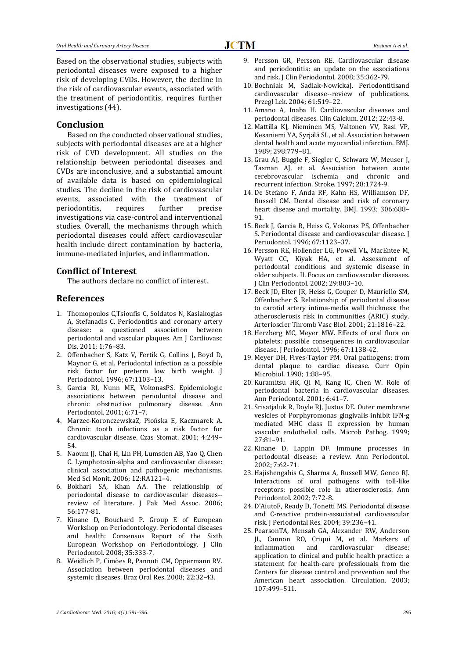Based on the observational studies, subjects with periodontal diseases were exposed to a higher risk of developing CVDs. However, the decline in the risk of cardiovascular events, associated with the treatment of periodontitis, requires further investigations (44).

#### **Conclusion**

Based on the conducted observational studies, subjects with periodontal diseases are at a higher risk of CVD development. All studies on the relationship between periodontal diseases and CVDs are inconclusive, and a substantial amount of available data is based on epidemiological studies. The decline in the risk of cardiovascular events, associated with the treatment of periodontitis, requires further precise investigations via case-control and interventional studies. Overall, the mechanisms through which periodontal diseases could affect cardiovascular health include direct contamination by bacteria, immune-mediated injuries, and inflammation.

#### **Conflict of Interest**

The authors declare no conflict of interest.

#### **References**

- 1. [Thomopoulos](http://www.ncbi.nlm.nih.gov/pubmed/?term=Thomopoulos%20C%5Bauth%5D) [C,Tsioufis](http://www.ncbi.nlm.nih.gov/pubmed/?term=Tsioufis%20C%5Bauth%5D) C, [Soldatos](http://www.ncbi.nlm.nih.gov/pubmed/?term=Soldatos%20N%5Bauth%5D) N, [Kasiakogias](http://www.ncbi.nlm.nih.gov/pubmed/?term=Kasiakogias%20A%5Bauth%5D) A, [Stefanadis](http://www.ncbi.nlm.nih.gov/pubmed/?term=Stefanadis%20C%5Bauth%5D) C. Periodontitis and coronary artery disease: a questioned association between periodontal and vascular plaques. Am J Cardiovasc Dis. 2011; 1:76–83.
- 2. Offenbacher S, [Katz V,](http://www.ncbi.nlm.nih.gov/pubmed/?term=Katz%20V%5BAuthor%5D&cauthor=true&cauthor_uid=8910829) [Fertik G,](http://www.ncbi.nlm.nih.gov/pubmed/?term=Fertik%20G%5BAuthor%5D&cauthor=true&cauthor_uid=8910829) [Collins J,](http://www.ncbi.nlm.nih.gov/pubmed/?term=Collins%20J%5BAuthor%5D&cauthor=true&cauthor_uid=8910829) [Boyd D,](http://www.ncbi.nlm.nih.gov/pubmed/?term=Boyd%20D%5BAuthor%5D&cauthor=true&cauthor_uid=8910829)  [Maynor G,](http://www.ncbi.nlm.nih.gov/pubmed/?term=Maynor%20G%5BAuthor%5D&cauthor=true&cauthor_uid=8910829) et al. Periodontal infection as a possible risk factor for preterm low birth weight. J Periodontol. 1996; 67:1103–13.
- 3. Garcia RI, Nunn ME, VokonasPS. Epidemiologic associations between periodontal disease and chronic obstructive pulmonary disease. Ann Periodontol. 2001; 6:71–7.
- 4. Marzec-KoronczewskaZ, Płońska E, Kaczmarek A. Chronic tooth infections as a risk factor for cardiovascular disease. Czas Stomat. 2001; 4:249– 54.
- 5. Naoum II, Chai H, Lin PH, Lumsden AB, Yao O, Chen C. Lymphotoxin-alpha and cardiovascular disease: clinical association and pathogenic mechanisms. Med Sci Monit. 2006; 12:RA121–4.
- 6. [Bokhari SA,](http://www.ncbi.nlm.nih.gov/pubmed?term=Bokhari%20SA%5BAuthor%5D&cauthor=true&cauthor_uid=16711340) [Khan AA.](http://www.ncbi.nlm.nih.gov/pubmed?term=Khan%20AA%5BAuthor%5D&cauthor=true&cauthor_uid=16711340) The relationship of periodontal disease to cardiovascular diseases- review of literature. [J Pak Med Assoc.](http://www.ncbi.nlm.nih.gov/pubmed/16711340) 2006; 56:177-81.
- 7. [Kinane D,](http://www.ncbi.nlm.nih.gov/pubmed?term=Kinane%20D%5BAuthor%5D&cauthor=true&cauthor_uid=18724860) [Bouchard P.](http://www.ncbi.nlm.nih.gov/pubmed?term=Bouchard%20P%5BAuthor%5D&cauthor=true&cauthor_uid=18724860) [Group E of European](http://www.ncbi.nlm.nih.gov/pubmed?term=Group%20E%20of%20European%20Workshop%20on%20Periodontology%5BCorporate%20Author%5D)  [Workshop on Periodontology.](http://www.ncbi.nlm.nih.gov/pubmed?term=Group%20E%20of%20European%20Workshop%20on%20Periodontology%5BCorporate%20Author%5D) Periodontal diseases and health: Consensus Report of the Sixth European Workshop on Periodontology. [J Clin](http://www.ncbi.nlm.nih.gov/pubmed/18724860)  [Periodontol.](http://www.ncbi.nlm.nih.gov/pubmed/18724860) 2008; 35:333-7.
- 8. [Weidlich P,](http://www.ncbi.nlm.nih.gov/pubmed?term=Weidlich%20P%5BAuthor%5D&cauthor=true&cauthor_uid=19838549) [Cimões R,](http://www.ncbi.nlm.nih.gov/pubmed?term=Cim%C3%B5es%20R%5BAuthor%5D&cauthor=true&cauthor_uid=19838549) [Pannuti CM,](http://www.ncbi.nlm.nih.gov/pubmed?term=Pannuti%20CM%5BAuthor%5D&cauthor=true&cauthor_uid=19838549) [Oppermann RV.](http://www.ncbi.nlm.nih.gov/pubmed?term=Oppermann%20RV%5BAuthor%5D&cauthor=true&cauthor_uid=19838549)  Association between periodontal diseases and systemic diseases[. Braz Oral Res.](http://www.ncbi.nlm.nih.gov/pubmed/19838549) 2008; 22:32-43.
- 9. [Persson GR,](http://www.ncbi.nlm.nih.gov/pubmed?term=Persson%20GR%5BAuthor%5D&cauthor=true&cauthor_uid=18724863) [Persson RE.](http://www.ncbi.nlm.nih.gov/pubmed?term=Persson%20RE%5BAuthor%5D&cauthor=true&cauthor_uid=18724863) Cardiovascular disease and periodontitis: an update on the associations and risk[. J Clin Periodontol.](http://www.ncbi.nlm.nih.gov/pubmed/18724863) 2008; 35:362-79.
- 10. Bochniak M, Sadlak-NowickaJ. Periodontitisand cardiovascular disease--review of publications. Przegl Lek. 2004; 61:519–22.
- 11. [Amano A,](http://www.ncbi.nlm.nih.gov/pubmed?term=Amano%20A%5BAuthor%5D&cauthor=true&cauthor_uid=22201098) [Inaba H.](http://www.ncbi.nlm.nih.gov/pubmed?term=Inaba%20H%5BAuthor%5D&cauthor=true&cauthor_uid=22201098) Cardiovascular diseases and periodontal diseases[. Clin Calcium.](http://www.ncbi.nlm.nih.gov/pubmed/22201098) 2012; 22:43-8.
- 12. Mattilla KJ, Nieminen MS, Valtonen VV, Rasi VP, Kesaniemi YA, [Syrjälä](http://www.ncbi.nlm.nih.gov/pubmed/?term=Syrj%26%23x000e4%3Bl%26%23x000e4%3B%20SL%5Bauth%5D) SL, et al. Association between dental health and acute myocardial infarction. BMJ. 1989; 298:779–81.
- 13. Grau AJ, Buggle F, Siegler C, [Schwarz W,](http://www.ncbi.nlm.nih.gov/pubmed/?term=Schwarz%20W%5BAuthor%5D&cauthor=true&cauthor_uid=9303015) [Meuser J,](http://www.ncbi.nlm.nih.gov/pubmed/?term=Meuser%20J%5BAuthor%5D&cauthor=true&cauthor_uid=9303015)  [Tasman AJ,](http://www.ncbi.nlm.nih.gov/pubmed/?term=Tasman%20AJ%5BAuthor%5D&cauthor=true&cauthor_uid=9303015) et al. Association between acute cerebrovascular ischemia and chronic and recurrent infection. Stroke. 1997; 28:1724-9.
- 14. De Stefano F, Anda RF, Kahn HS, Williamson DF, Russell CM. Dental disease and risk of coronary heart disease and mortality. BMJ. 1993; 306:688– 91.
- 15. Beck J, Garcia R, Heiss G, Vokonas PS, Offenbacher S. Periodontal disease and cardiovascular disease. J Periodontol. 1996; 67:1123–37.
- 16. Persson RE, [Hollender LG,](http://www.ncbi.nlm.nih.gov/pubmed/?term=Hollender%20LG%5BAuthor%5D&cauthor=true&cauthor_uid=12423292) [Powell VL,](http://www.ncbi.nlm.nih.gov/pubmed/?term=Powell%20VL%5BAuthor%5D&cauthor=true&cauthor_uid=12423292) [MacEntee M,](http://www.ncbi.nlm.nih.gov/pubmed/?term=MacEntee%20M%5BAuthor%5D&cauthor=true&cauthor_uid=12423292)  [Wyatt CC,](http://www.ncbi.nlm.nih.gov/pubmed/?term=Wyatt%20CC%5BAuthor%5D&cauthor=true&cauthor_uid=12423292) [Kiyak HA,](http://www.ncbi.nlm.nih.gov/pubmed/?term=Kiyak%20HA%5BAuthor%5D&cauthor=true&cauthor_uid=12423292) et al. Assessment of periodontal conditions and systemic disease in older subjects. II. Focus on cardiovascular diseases. J Clin Periodontol. 2002; 29:803–10.
- 17. Beck JD, Elter JR, Heiss G, Couper D, Mauriello SM, Offenbacher S. Relationship of periodontal disease to carotid artery intima-media wall thickness: the atherosclerosis risk in communities (ARIC) study. Arterioscler Thromb Vasc Biol. 2001; 21:1816–22.
- 18. Herzberg MC, Meyer MW. Effects of oral flora on platelets: possible consequences in cardiovascular disease. J Periodontol. 1996; 67:1138-42.
- 19. Meyer DH, Fives-Taylor PM. Oral pathogens: from dental plaque to cardiac disease. Curr Opin Microbiol. 1998; 1:88–95.
- 20. Kuramitsu HK, Qi M, Kang IC, Chen W. Role of periodontal bacteria in cardiovascular diseases. Ann Periodontol. 2001; 6:41–7.
- 21. Srisatjaluk R, Doyle RJ, Justus DE. Outer membrane vesicles of Porphyromonas gingivalis inhibit IFN-g mediated MHC class II expression by human vascular endothelial cells. Microb Pathog. 1999; 27:81–91.
- 22. Kinane D, Lappin DF. Immune processes in periodontal disease: a review. Ann Periodontol. 2002; 7:62-71.
- 23. Hajishengahis G, Sharma A, Russell MW, Genco RJ. Interactions of oral pathogens with toll-like receptors: possible role in atherosclerosis. Ann Periodontol. 2002; 7:72-8.
- 24. D'AiutoF, Ready D, Tonetti MS. Periodontal disease and C-reactive protein-associated cardiovascular risk. J Periodontal Res. 2004; 39:236–41.
- 25. PearsonTA, Mensah GA, Alexander RW, Anderson JL, Cannon RO, Criqui M, et al. Markers of inflammation and cardiovascular disease: application to clinical and public health practice: a statement for health-care professionals from the Centers for disease control and prevention and the American heart association. Circulation. 2003; 107:499–511.